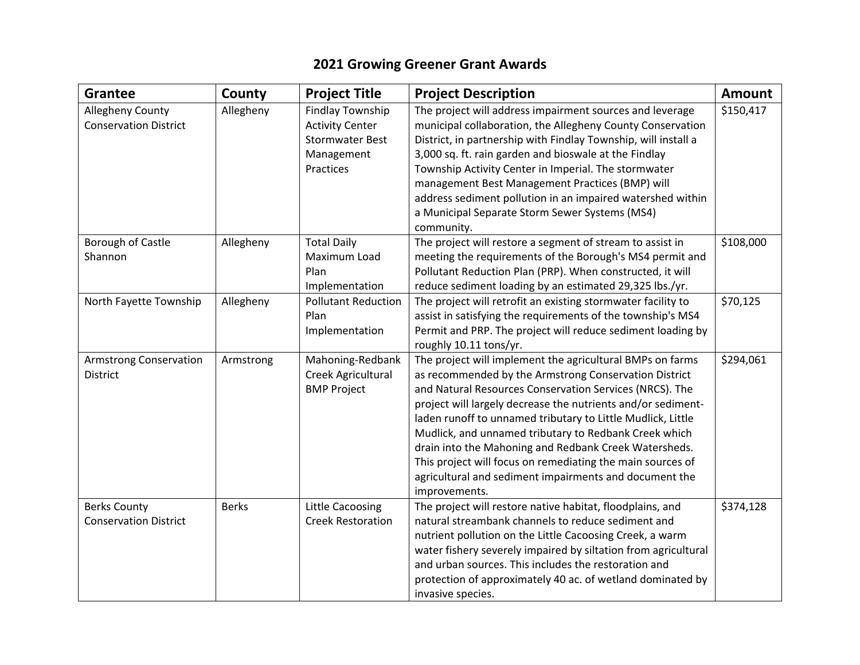## **2021 Growing Greener Grant Awards**

| <b>Grantee</b>                                      | County       | <b>Project Title</b>                                                                            | <b>Project Description</b>                                                                                                                                                                                                                                                                                                                                                                                                                                                                                                                                              | <b>Amount</b> |
|-----------------------------------------------------|--------------|-------------------------------------------------------------------------------------------------|-------------------------------------------------------------------------------------------------------------------------------------------------------------------------------------------------------------------------------------------------------------------------------------------------------------------------------------------------------------------------------------------------------------------------------------------------------------------------------------------------------------------------------------------------------------------------|---------------|
| Allegheny County<br><b>Conservation District</b>    | Allegheny    | Findlay Township<br><b>Activity Center</b><br><b>Stormwater Best</b><br>Management<br>Practices | The project will address impairment sources and leverage<br>municipal collaboration, the Allegheny County Conservation<br>District, in partnership with Findlay Township, will install a<br>3,000 sq. ft. rain garden and bioswale at the Findlay<br>Township Activity Center in Imperial. The stormwater<br>management Best Management Practices (BMP) will<br>address sediment pollution in an impaired watershed within<br>a Municipal Separate Storm Sewer Systems (MS4)<br>community.                                                                              | \$150,417     |
| Borough of Castle<br>Shannon                        | Allegheny    | <b>Total Daily</b><br>Maximum Load<br>Plan<br>Implementation                                    | The project will restore a segment of stream to assist in<br>meeting the requirements of the Borough's MS4 permit and<br>Pollutant Reduction Plan (PRP). When constructed, it will<br>reduce sediment loading by an estimated 29,325 lbs./yr.                                                                                                                                                                                                                                                                                                                           | \$108,000     |
| North Fayette Township                              | Allegheny    | <b>Pollutant Reduction</b><br>Plan<br>Implementation                                            | The project will retrofit an existing stormwater facility to<br>assist in satisfying the requirements of the township's MS4<br>Permit and PRP. The project will reduce sediment loading by<br>roughly 10.11 tons/yr.                                                                                                                                                                                                                                                                                                                                                    | \$70,125      |
| <b>Armstrong Conservation</b><br><b>District</b>    | Armstrong    | Mahoning-Redbank<br>Creek Agricultural<br><b>BMP Project</b>                                    | The project will implement the agricultural BMPs on farms<br>as recommended by the Armstrong Conservation District<br>and Natural Resources Conservation Services (NRCS). The<br>project will largely decrease the nutrients and/or sediment-<br>laden runoff to unnamed tributary to Little Mudlick, Little<br>Mudlick, and unnamed tributary to Redbank Creek which<br>drain into the Mahoning and Redbank Creek Watersheds.<br>This project will focus on remediating the main sources of<br>agricultural and sediment impairments and document the<br>improvements. | \$294,061     |
| <b>Berks County</b><br><b>Conservation District</b> | <b>Berks</b> | <b>Little Cacoosing</b><br><b>Creek Restoration</b>                                             | The project will restore native habitat, floodplains, and<br>natural streambank channels to reduce sediment and<br>nutrient pollution on the Little Cacoosing Creek, a warm<br>water fishery severely impaired by siltation from agricultural<br>and urban sources. This includes the restoration and<br>protection of approximately 40 ac. of wetland dominated by<br>invasive species.                                                                                                                                                                                | \$374,128     |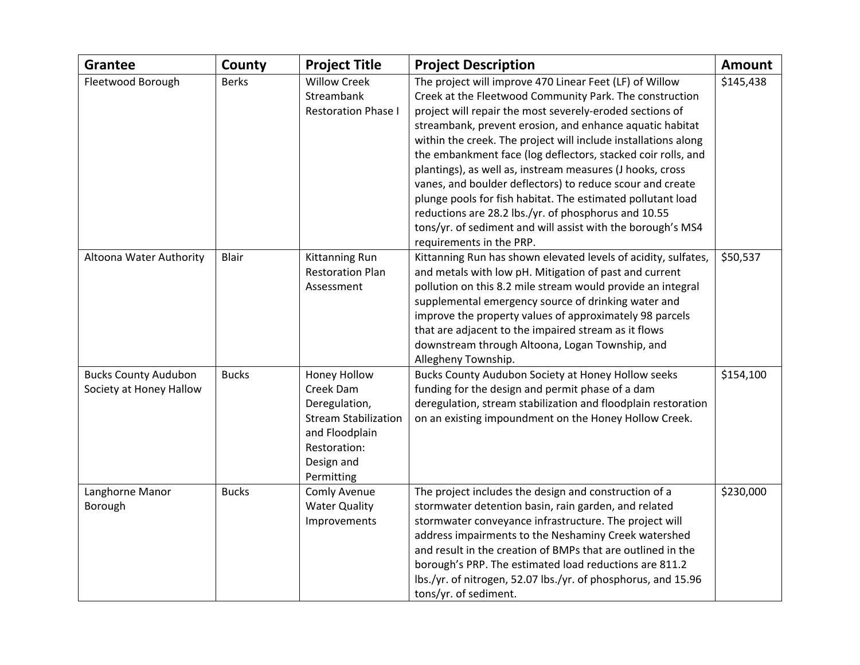| <b>Grantee</b>                                         | County       | <b>Project Title</b>                                                                                                                    | <b>Project Description</b>                                                                                                                                                                                                                                                                                                                                                                                                                                                                                                                                                                                                                                                                                               | <b>Amount</b> |
|--------------------------------------------------------|--------------|-----------------------------------------------------------------------------------------------------------------------------------------|--------------------------------------------------------------------------------------------------------------------------------------------------------------------------------------------------------------------------------------------------------------------------------------------------------------------------------------------------------------------------------------------------------------------------------------------------------------------------------------------------------------------------------------------------------------------------------------------------------------------------------------------------------------------------------------------------------------------------|---------------|
| Fleetwood Borough                                      | <b>Berks</b> | <b>Willow Creek</b><br>Streambank<br><b>Restoration Phase I</b>                                                                         | The project will improve 470 Linear Feet (LF) of Willow<br>Creek at the Fleetwood Community Park. The construction<br>project will repair the most severely-eroded sections of<br>streambank, prevent erosion, and enhance aquatic habitat<br>within the creek. The project will include installations along<br>the embankment face (log deflectors, stacked coir rolls, and<br>plantings), as well as, instream measures (J hooks, cross<br>vanes, and boulder deflectors) to reduce scour and create<br>plunge pools for fish habitat. The estimated pollutant load<br>reductions are 28.2 lbs./yr. of phosphorus and 10.55<br>tons/yr. of sediment and will assist with the borough's MS4<br>requirements in the PRP. | \$145,438     |
| Altoona Water Authority                                | Blair        | <b>Kittanning Run</b><br><b>Restoration Plan</b><br>Assessment                                                                          | Kittanning Run has shown elevated levels of acidity, sulfates,<br>and metals with low pH. Mitigation of past and current<br>pollution on this 8.2 mile stream would provide an integral<br>supplemental emergency source of drinking water and<br>improve the property values of approximately 98 parcels<br>that are adjacent to the impaired stream as it flows<br>downstream through Altoona, Logan Township, and<br>Allegheny Township.                                                                                                                                                                                                                                                                              | \$50,537      |
| <b>Bucks County Audubon</b><br>Society at Honey Hallow | <b>Bucks</b> | Honey Hollow<br>Creek Dam<br>Deregulation,<br><b>Stream Stabilization</b><br>and Floodplain<br>Restoration:<br>Design and<br>Permitting | Bucks County Audubon Society at Honey Hollow seeks<br>funding for the design and permit phase of a dam<br>deregulation, stream stabilization and floodplain restoration<br>on an existing impoundment on the Honey Hollow Creek.                                                                                                                                                                                                                                                                                                                                                                                                                                                                                         | \$154,100     |
| Langhorne Manor<br>Borough                             | <b>Bucks</b> | Comly Avenue<br><b>Water Quality</b><br>Improvements                                                                                    | The project includes the design and construction of a<br>stormwater detention basin, rain garden, and related<br>stormwater conveyance infrastructure. The project will<br>address impairments to the Neshaminy Creek watershed<br>and result in the creation of BMPs that are outlined in the<br>borough's PRP. The estimated load reductions are 811.2<br>lbs./yr. of nitrogen, 52.07 lbs./yr. of phosphorus, and 15.96<br>tons/yr. of sediment.                                                                                                                                                                                                                                                                       | \$230,000     |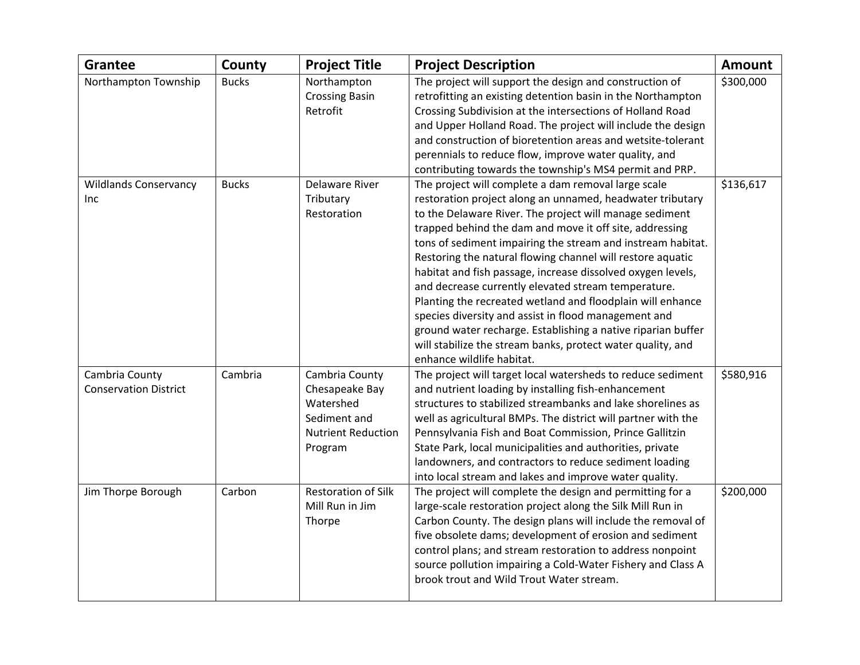| <b>Grantee</b>                                 | County       | <b>Project Title</b>                                                                                  | <b>Project Description</b>                                                                                                                                                                                                                                                                                                                                                                                                                                                                     | <b>Amount</b> |
|------------------------------------------------|--------------|-------------------------------------------------------------------------------------------------------|------------------------------------------------------------------------------------------------------------------------------------------------------------------------------------------------------------------------------------------------------------------------------------------------------------------------------------------------------------------------------------------------------------------------------------------------------------------------------------------------|---------------|
| Northampton Township                           | <b>Bucks</b> | Northampton<br><b>Crossing Basin</b><br>Retrofit                                                      | The project will support the design and construction of<br>retrofitting an existing detention basin in the Northampton<br>Crossing Subdivision at the intersections of Holland Road                                                                                                                                                                                                                                                                                                            | \$300,000     |
|                                                |              |                                                                                                       | and Upper Holland Road. The project will include the design<br>and construction of bioretention areas and wetsite-tolerant                                                                                                                                                                                                                                                                                                                                                                     |               |
|                                                |              |                                                                                                       | perennials to reduce flow, improve water quality, and<br>contributing towards the township's MS4 permit and PRP.                                                                                                                                                                                                                                                                                                                                                                               |               |
| <b>Wildlands Conservancy</b><br>Inc            | <b>Bucks</b> | <b>Delaware River</b><br>Tributary<br>Restoration                                                     | The project will complete a dam removal large scale<br>restoration project along an unnamed, headwater tributary<br>to the Delaware River. The project will manage sediment<br>trapped behind the dam and move it off site, addressing<br>tons of sediment impairing the stream and instream habitat.<br>Restoring the natural flowing channel will restore aquatic<br>habitat and fish passage, increase dissolved oxygen levels,<br>and decrease currently elevated stream temperature.      | \$136,617     |
|                                                |              |                                                                                                       | Planting the recreated wetland and floodplain will enhance<br>species diversity and assist in flood management and<br>ground water recharge. Establishing a native riparian buffer<br>will stabilize the stream banks, protect water quality, and<br>enhance wildlife habitat.                                                                                                                                                                                                                 |               |
| Cambria County<br><b>Conservation District</b> | Cambria      | Cambria County<br>Chesapeake Bay<br>Watershed<br>Sediment and<br><b>Nutrient Reduction</b><br>Program | The project will target local watersheds to reduce sediment<br>and nutrient loading by installing fish-enhancement<br>structures to stabilized streambanks and lake shorelines as<br>well as agricultural BMPs. The district will partner with the<br>Pennsylvania Fish and Boat Commission, Prince Gallitzin<br>State Park, local municipalities and authorities, private<br>landowners, and contractors to reduce sediment loading<br>into local stream and lakes and improve water quality. | \$580,916     |
| Jim Thorpe Borough                             | Carbon       | <b>Restoration of Silk</b><br>Mill Run in Jim<br>Thorpe                                               | The project will complete the design and permitting for a<br>large-scale restoration project along the Silk Mill Run in<br>Carbon County. The design plans will include the removal of<br>five obsolete dams; development of erosion and sediment<br>control plans; and stream restoration to address nonpoint<br>source pollution impairing a Cold-Water Fishery and Class A<br>brook trout and Wild Trout Water stream.                                                                      | \$200,000     |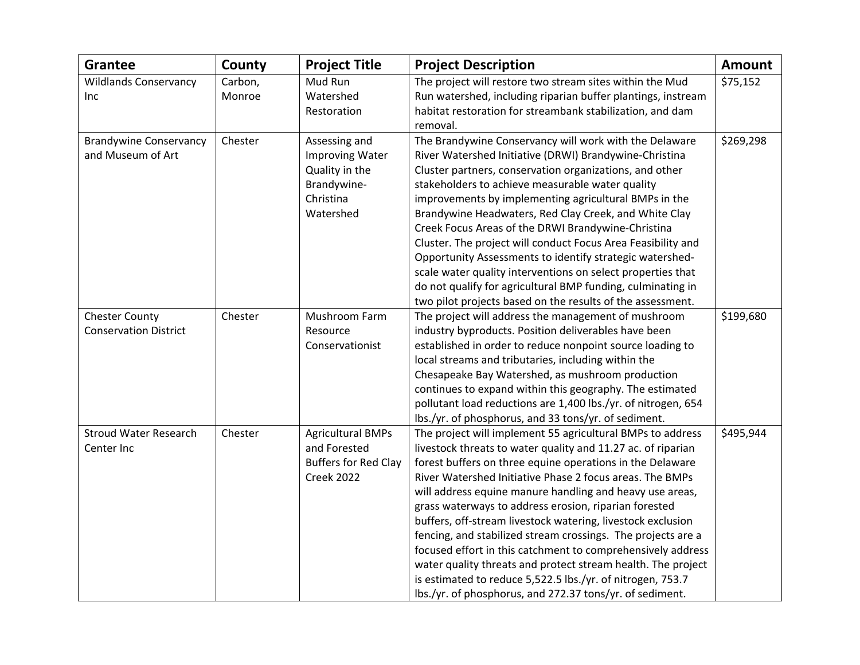| <b>Grantee</b>                | County  | <b>Project Title</b>        | <b>Project Description</b>                                    | <b>Amount</b> |
|-------------------------------|---------|-----------------------------|---------------------------------------------------------------|---------------|
| <b>Wildlands Conservancy</b>  | Carbon, | Mud Run                     | The project will restore two stream sites within the Mud      | \$75,152      |
| Inc                           | Monroe  | Watershed                   | Run watershed, including riparian buffer plantings, instream  |               |
|                               |         | Restoration                 | habitat restoration for streambank stabilization, and dam     |               |
|                               |         |                             | removal.                                                      |               |
| <b>Brandywine Conservancy</b> | Chester | Assessing and               | The Brandywine Conservancy will work with the Delaware        | \$269,298     |
| and Museum of Art             |         | <b>Improving Water</b>      | River Watershed Initiative (DRWI) Brandywine-Christina        |               |
|                               |         | Quality in the              | Cluster partners, conservation organizations, and other       |               |
|                               |         | Brandywine-                 | stakeholders to achieve measurable water quality              |               |
|                               |         | Christina                   | improvements by implementing agricultural BMPs in the         |               |
|                               |         | Watershed                   | Brandywine Headwaters, Red Clay Creek, and White Clay         |               |
|                               |         |                             | Creek Focus Areas of the DRWI Brandywine-Christina            |               |
|                               |         |                             | Cluster. The project will conduct Focus Area Feasibility and  |               |
|                               |         |                             | Opportunity Assessments to identify strategic watershed-      |               |
|                               |         |                             | scale water quality interventions on select properties that   |               |
|                               |         |                             | do not qualify for agricultural BMP funding, culminating in   |               |
|                               |         |                             | two pilot projects based on the results of the assessment.    |               |
| <b>Chester County</b>         | Chester | Mushroom Farm               | The project will address the management of mushroom           | \$199,680     |
| <b>Conservation District</b>  |         | Resource                    | industry byproducts. Position deliverables have been          |               |
|                               |         | Conservationist             | established in order to reduce nonpoint source loading to     |               |
|                               |         |                             | local streams and tributaries, including within the           |               |
|                               |         |                             | Chesapeake Bay Watershed, as mushroom production              |               |
|                               |         |                             | continues to expand within this geography. The estimated      |               |
|                               |         |                             | pollutant load reductions are 1,400 lbs./yr. of nitrogen, 654 |               |
|                               |         |                             | lbs./yr. of phosphorus, and 33 tons/yr. of sediment.          |               |
| <b>Stroud Water Research</b>  | Chester | <b>Agricultural BMPs</b>    | The project will implement 55 agricultural BMPs to address    | \$495,944     |
| Center Inc                    |         | and Forested                | livestock threats to water quality and 11.27 ac. of riparian  |               |
|                               |         | <b>Buffers for Red Clay</b> | forest buffers on three equine operations in the Delaware     |               |
|                               |         | <b>Creek 2022</b>           | River Watershed Initiative Phase 2 focus areas. The BMPs      |               |
|                               |         |                             | will address equine manure handling and heavy use areas,      |               |
|                               |         |                             | grass waterways to address erosion, riparian forested         |               |
|                               |         |                             | buffers, off-stream livestock watering, livestock exclusion   |               |
|                               |         |                             | fencing, and stabilized stream crossings. The projects are a  |               |
|                               |         |                             | focused effort in this catchment to comprehensively address   |               |
|                               |         |                             | water quality threats and protect stream health. The project  |               |
|                               |         |                             | is estimated to reduce 5,522.5 lbs./yr. of nitrogen, 753.7    |               |
|                               |         |                             | lbs./yr. of phosphorus, and 272.37 tons/yr. of sediment.      |               |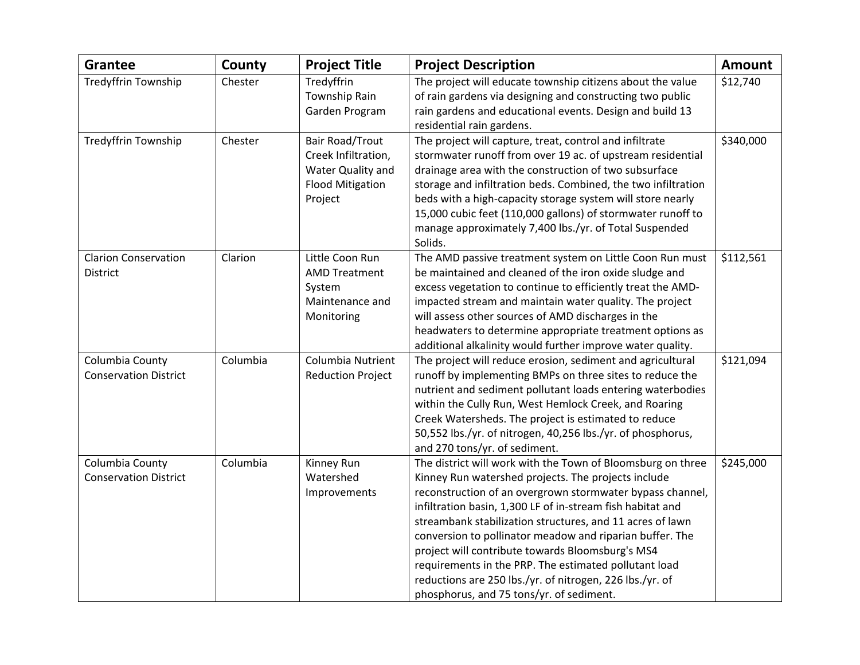| <b>Grantee</b>                                  | County   | <b>Project Title</b>                                                                                     | <b>Project Description</b>                                                                                                                                                                                                                                                                                                                                                                                                                                                                                                                                                                  | <b>Amount</b> |
|-------------------------------------------------|----------|----------------------------------------------------------------------------------------------------------|---------------------------------------------------------------------------------------------------------------------------------------------------------------------------------------------------------------------------------------------------------------------------------------------------------------------------------------------------------------------------------------------------------------------------------------------------------------------------------------------------------------------------------------------------------------------------------------------|---------------|
| Tredyffrin Township                             | Chester  | Tredyffrin<br>Township Rain<br>Garden Program                                                            | The project will educate township citizens about the value<br>of rain gardens via designing and constructing two public<br>rain gardens and educational events. Design and build 13<br>residential rain gardens.                                                                                                                                                                                                                                                                                                                                                                            | \$12,740      |
| Tredyffrin Township                             | Chester  | <b>Bair Road/Trout</b><br>Creek Infiltration,<br>Water Quality and<br><b>Flood Mitigation</b><br>Project | The project will capture, treat, control and infiltrate<br>stormwater runoff from over 19 ac. of upstream residential<br>drainage area with the construction of two subsurface<br>storage and infiltration beds. Combined, the two infiltration<br>beds with a high-capacity storage system will store nearly<br>15,000 cubic feet (110,000 gallons) of stormwater runoff to<br>manage approximately 7,400 lbs./yr. of Total Suspended<br>Solids.                                                                                                                                           | \$340,000     |
| <b>Clarion Conservation</b><br>District         | Clarion  | Little Coon Run<br><b>AMD Treatment</b><br>System<br>Maintenance and<br>Monitoring                       | The AMD passive treatment system on Little Coon Run must<br>be maintained and cleaned of the iron oxide sludge and<br>excess vegetation to continue to efficiently treat the AMD-<br>impacted stream and maintain water quality. The project<br>will assess other sources of AMD discharges in the<br>headwaters to determine appropriate treatment options as<br>additional alkalinity would further improve water quality.                                                                                                                                                                | \$112,561     |
| Columbia County<br><b>Conservation District</b> | Columbia | Columbia Nutrient<br><b>Reduction Project</b>                                                            | The project will reduce erosion, sediment and agricultural<br>runoff by implementing BMPs on three sites to reduce the<br>nutrient and sediment pollutant loads entering waterbodies<br>within the Cully Run, West Hemlock Creek, and Roaring<br>Creek Watersheds. The project is estimated to reduce<br>50,552 lbs./yr. of nitrogen, 40,256 lbs./yr. of phosphorus,<br>and 270 tons/yr. of sediment.                                                                                                                                                                                       | \$121,094     |
| Columbia County<br><b>Conservation District</b> | Columbia | Kinney Run<br>Watershed<br>Improvements                                                                  | The district will work with the Town of Bloomsburg on three<br>Kinney Run watershed projects. The projects include<br>reconstruction of an overgrown stormwater bypass channel,<br>infiltration basin, 1,300 LF of in-stream fish habitat and<br>streambank stabilization structures, and 11 acres of lawn<br>conversion to pollinator meadow and riparian buffer. The<br>project will contribute towards Bloomsburg's MS4<br>requirements in the PRP. The estimated pollutant load<br>reductions are 250 lbs./yr. of nitrogen, 226 lbs./yr. of<br>phosphorus, and 75 tons/yr. of sediment. | \$245,000     |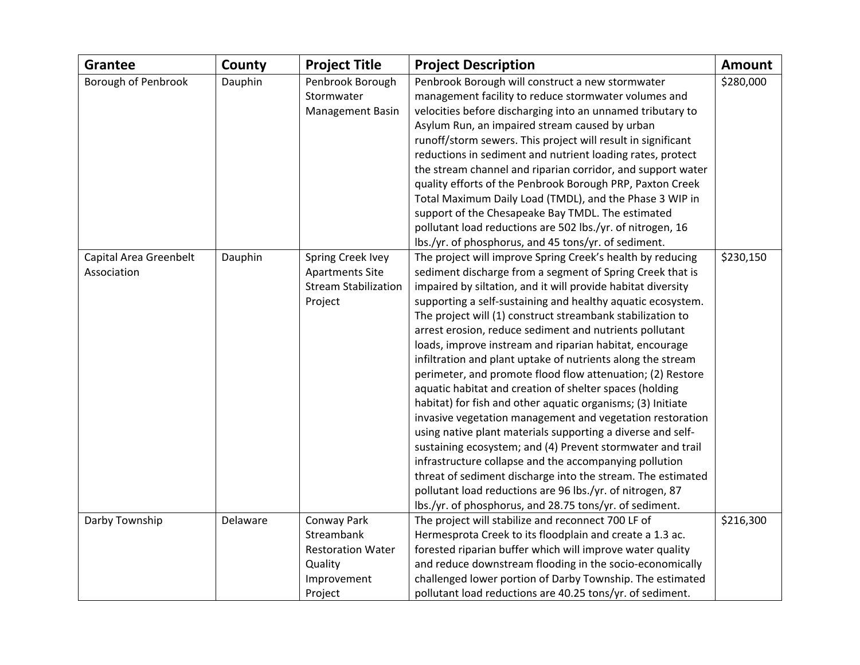| <b>Grantee</b>         | County   | <b>Project Title</b>        | <b>Project Description</b>                                   | <b>Amount</b> |
|------------------------|----------|-----------------------------|--------------------------------------------------------------|---------------|
| Borough of Penbrook    | Dauphin  | Penbrook Borough            | Penbrook Borough will construct a new stormwater             | \$280,000     |
|                        |          | Stormwater                  | management facility to reduce stormwater volumes and         |               |
|                        |          | <b>Management Basin</b>     | velocities before discharging into an unnamed tributary to   |               |
|                        |          |                             | Asylum Run, an impaired stream caused by urban               |               |
|                        |          |                             | runoff/storm sewers. This project will result in significant |               |
|                        |          |                             | reductions in sediment and nutrient loading rates, protect   |               |
|                        |          |                             | the stream channel and riparian corridor, and support water  |               |
|                        |          |                             | quality efforts of the Penbrook Borough PRP, Paxton Creek    |               |
|                        |          |                             | Total Maximum Daily Load (TMDL), and the Phase 3 WIP in      |               |
|                        |          |                             | support of the Chesapeake Bay TMDL. The estimated            |               |
|                        |          |                             | pollutant load reductions are 502 lbs./yr. of nitrogen, 16   |               |
|                        |          |                             | lbs./yr. of phosphorus, and 45 tons/yr. of sediment.         |               |
| Capital Area Greenbelt | Dauphin  | Spring Creek Ivey           | The project will improve Spring Creek's health by reducing   | \$230,150     |
| Association            |          | <b>Apartments Site</b>      | sediment discharge from a segment of Spring Creek that is    |               |
|                        |          | <b>Stream Stabilization</b> | impaired by siltation, and it will provide habitat diversity |               |
|                        |          | Project                     | supporting a self-sustaining and healthy aquatic ecosystem.  |               |
|                        |          |                             | The project will (1) construct streambank stabilization to   |               |
|                        |          |                             | arrest erosion, reduce sediment and nutrients pollutant      |               |
|                        |          |                             | loads, improve instream and riparian habitat, encourage      |               |
|                        |          |                             | infiltration and plant uptake of nutrients along the stream  |               |
|                        |          |                             | perimeter, and promote flood flow attenuation; (2) Restore   |               |
|                        |          |                             | aquatic habitat and creation of shelter spaces (holding      |               |
|                        |          |                             | habitat) for fish and other aquatic organisms; (3) Initiate  |               |
|                        |          |                             | invasive vegetation management and vegetation restoration    |               |
|                        |          |                             | using native plant materials supporting a diverse and self-  |               |
|                        |          |                             | sustaining ecosystem; and (4) Prevent stormwater and trail   |               |
|                        |          |                             | infrastructure collapse and the accompanying pollution       |               |
|                        |          |                             | threat of sediment discharge into the stream. The estimated  |               |
|                        |          |                             | pollutant load reductions are 96 lbs./yr. of nitrogen, 87    |               |
|                        |          |                             | lbs./yr. of phosphorus, and 28.75 tons/yr. of sediment.      |               |
| Darby Township         | Delaware | Conway Park                 | The project will stabilize and reconnect 700 LF of           | \$216,300     |
|                        |          | Streambank                  | Hermesprota Creek to its floodplain and create a 1.3 ac.     |               |
|                        |          | <b>Restoration Water</b>    | forested riparian buffer which will improve water quality    |               |
|                        |          | Quality                     | and reduce downstream flooding in the socio-economically     |               |
|                        |          | Improvement                 | challenged lower portion of Darby Township. The estimated    |               |
|                        |          | Project                     | pollutant load reductions are 40.25 tons/yr. of sediment.    |               |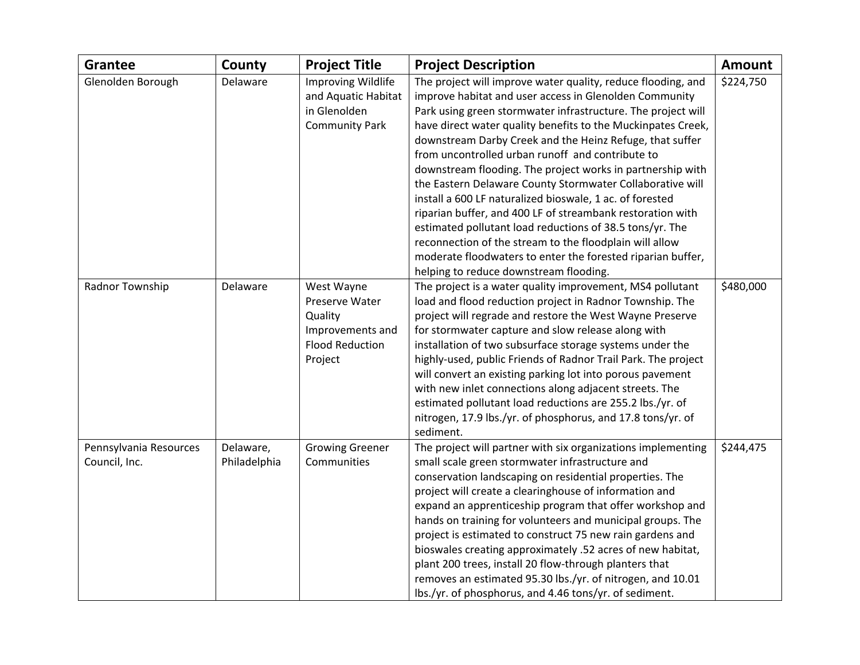| <b>Grantee</b>         | County       | <b>Project Title</b>                      | <b>Project Description</b>                                                                                             | <b>Amount</b> |
|------------------------|--------------|-------------------------------------------|------------------------------------------------------------------------------------------------------------------------|---------------|
| Glenolden Borough      | Delaware     | Improving Wildlife<br>and Aquatic Habitat | The project will improve water quality, reduce flooding, and<br>improve habitat and user access in Glenolden Community | \$224,750     |
|                        |              | in Glenolden                              | Park using green stormwater infrastructure. The project will                                                           |               |
|                        |              | <b>Community Park</b>                     | have direct water quality benefits to the Muckinpates Creek,                                                           |               |
|                        |              |                                           | downstream Darby Creek and the Heinz Refuge, that suffer                                                               |               |
|                        |              |                                           | from uncontrolled urban runoff and contribute to                                                                       |               |
|                        |              |                                           | downstream flooding. The project works in partnership with                                                             |               |
|                        |              |                                           | the Eastern Delaware County Stormwater Collaborative will                                                              |               |
|                        |              |                                           | install a 600 LF naturalized bioswale, 1 ac. of forested                                                               |               |
|                        |              |                                           | riparian buffer, and 400 LF of streambank restoration with                                                             |               |
|                        |              |                                           | estimated pollutant load reductions of 38.5 tons/yr. The                                                               |               |
|                        |              |                                           | reconnection of the stream to the floodplain will allow                                                                |               |
|                        |              |                                           | moderate floodwaters to enter the forested riparian buffer,                                                            |               |
|                        |              |                                           | helping to reduce downstream flooding.                                                                                 |               |
| Radnor Township        | Delaware     | West Wayne                                | The project is a water quality improvement, MS4 pollutant                                                              | \$480,000     |
|                        |              | Preserve Water                            | load and flood reduction project in Radnor Township. The                                                               |               |
|                        |              | Quality                                   | project will regrade and restore the West Wayne Preserve                                                               |               |
|                        |              | Improvements and                          | for stormwater capture and slow release along with                                                                     |               |
|                        |              | <b>Flood Reduction</b>                    | installation of two subsurface storage systems under the                                                               |               |
|                        |              | Project                                   | highly-used, public Friends of Radnor Trail Park. The project                                                          |               |
|                        |              |                                           | will convert an existing parking lot into porous pavement                                                              |               |
|                        |              |                                           | with new inlet connections along adjacent streets. The                                                                 |               |
|                        |              |                                           | estimated pollutant load reductions are 255.2 lbs./yr. of                                                              |               |
|                        |              |                                           | nitrogen, 17.9 lbs./yr. of phosphorus, and 17.8 tons/yr. of                                                            |               |
|                        |              |                                           | sediment.                                                                                                              |               |
| Pennsylvania Resources | Delaware,    | <b>Growing Greener</b>                    | The project will partner with six organizations implementing                                                           | \$244,475     |
| Council, Inc.          | Philadelphia | Communities                               | small scale green stormwater infrastructure and                                                                        |               |
|                        |              |                                           | conservation landscaping on residential properties. The                                                                |               |
|                        |              |                                           | project will create a clearinghouse of information and                                                                 |               |
|                        |              |                                           | expand an apprenticeship program that offer workshop and                                                               |               |
|                        |              |                                           | hands on training for volunteers and municipal groups. The                                                             |               |
|                        |              |                                           | project is estimated to construct 75 new rain gardens and                                                              |               |
|                        |              |                                           | bioswales creating approximately .52 acres of new habitat,                                                             |               |
|                        |              |                                           | plant 200 trees, install 20 flow-through planters that                                                                 |               |
|                        |              |                                           | removes an estimated 95.30 lbs./yr. of nitrogen, and 10.01                                                             |               |
|                        |              |                                           | lbs./yr. of phosphorus, and 4.46 tons/yr. of sediment.                                                                 |               |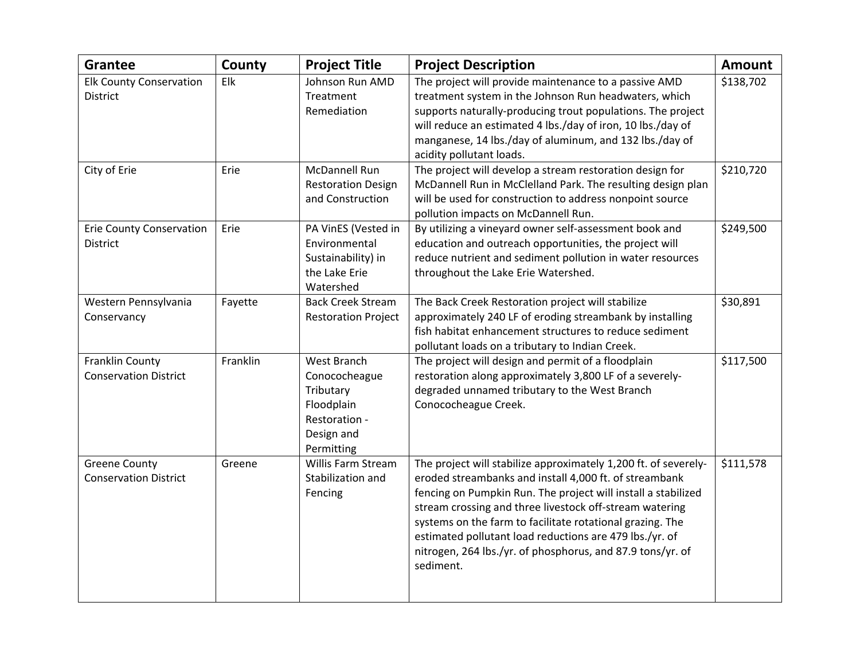| <b>Grantee</b>                                       | County   | <b>Project Title</b>                                                                                 | <b>Project Description</b>                                                                                                                                                                                                                                                                                                                                                                                                                               | <b>Amount</b> |
|------------------------------------------------------|----------|------------------------------------------------------------------------------------------------------|----------------------------------------------------------------------------------------------------------------------------------------------------------------------------------------------------------------------------------------------------------------------------------------------------------------------------------------------------------------------------------------------------------------------------------------------------------|---------------|
| <b>Elk County Conservation</b><br><b>District</b>    | Elk      | Johnson Run AMD<br>Treatment<br>Remediation                                                          | The project will provide maintenance to a passive AMD<br>treatment system in the Johnson Run headwaters, which<br>supports naturally-producing trout populations. The project<br>will reduce an estimated 4 lbs./day of iron, 10 lbs./day of<br>manganese, 14 lbs./day of aluminum, and 132 lbs./day of<br>acidity pollutant loads.                                                                                                                      | \$138,702     |
| City of Erie                                         | Erie     | McDannell Run<br><b>Restoration Design</b><br>and Construction                                       | The project will develop a stream restoration design for<br>McDannell Run in McClelland Park. The resulting design plan<br>will be used for construction to address nonpoint source<br>pollution impacts on McDannell Run.                                                                                                                                                                                                                               | \$210,720     |
| <b>Erie County Conservation</b><br><b>District</b>   | Erie     | PA VinES (Vested in<br>Environmental<br>Sustainability) in<br>the Lake Erie<br>Watershed             | By utilizing a vineyard owner self-assessment book and<br>education and outreach opportunities, the project will<br>reduce nutrient and sediment pollution in water resources<br>throughout the Lake Erie Watershed.                                                                                                                                                                                                                                     | \$249,500     |
| Western Pennsylvania<br>Conservancy                  | Fayette  | <b>Back Creek Stream</b><br><b>Restoration Project</b>                                               | The Back Creek Restoration project will stabilize<br>approximately 240 LF of eroding streambank by installing<br>fish habitat enhancement structures to reduce sediment<br>pollutant loads on a tributary to Indian Creek.                                                                                                                                                                                                                               | \$30,891      |
| Franklin County<br><b>Conservation District</b>      | Franklin | West Branch<br>Conococheague<br>Tributary<br>Floodplain<br>Restoration -<br>Design and<br>Permitting | The project will design and permit of a floodplain<br>restoration along approximately 3,800 LF of a severely-<br>degraded unnamed tributary to the West Branch<br>Conococheague Creek.                                                                                                                                                                                                                                                                   | \$117,500     |
| <b>Greene County</b><br><b>Conservation District</b> | Greene   | Willis Farm Stream<br>Stabilization and<br>Fencing                                                   | The project will stabilize approximately 1,200 ft. of severely-<br>eroded streambanks and install 4,000 ft. of streambank<br>fencing on Pumpkin Run. The project will install a stabilized<br>stream crossing and three livestock off-stream watering<br>systems on the farm to facilitate rotational grazing. The<br>estimated pollutant load reductions are 479 lbs./yr. of<br>nitrogen, 264 lbs./yr. of phosphorus, and 87.9 tons/yr. of<br>sediment. | \$111,578     |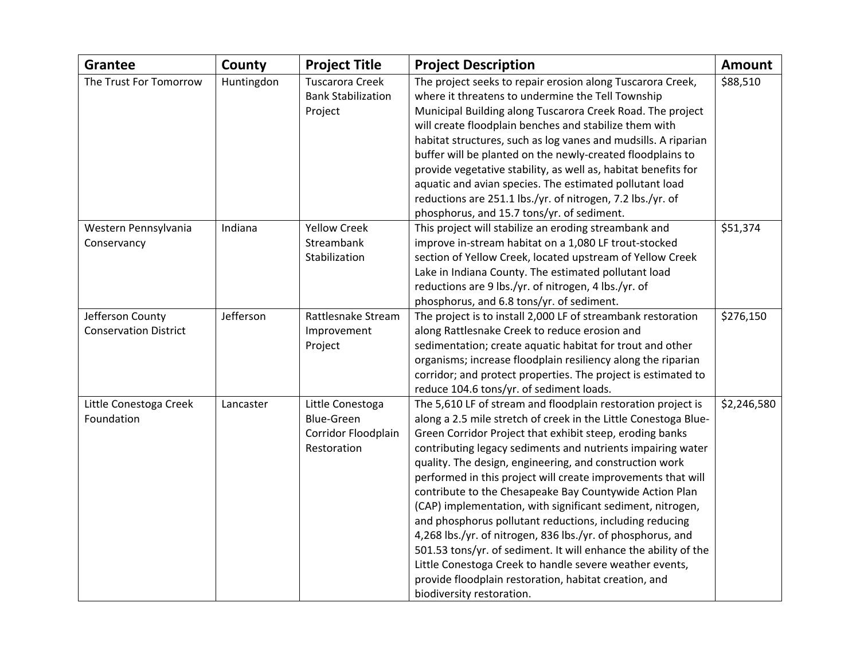| <b>Grantee</b>               | County     | <b>Project Title</b>      | <b>Project Description</b>                                      | <b>Amount</b> |
|------------------------------|------------|---------------------------|-----------------------------------------------------------------|---------------|
| The Trust For Tomorrow       | Huntingdon | Tuscarora Creek           | The project seeks to repair erosion along Tuscarora Creek,      | \$88,510      |
|                              |            | <b>Bank Stabilization</b> | where it threatens to undermine the Tell Township               |               |
|                              |            | Project                   | Municipal Building along Tuscarora Creek Road. The project      |               |
|                              |            |                           | will create floodplain benches and stabilize them with          |               |
|                              |            |                           | habitat structures, such as log vanes and mudsills. A riparian  |               |
|                              |            |                           | buffer will be planted on the newly-created floodplains to      |               |
|                              |            |                           | provide vegetative stability, as well as, habitat benefits for  |               |
|                              |            |                           | aquatic and avian species. The estimated pollutant load         |               |
|                              |            |                           | reductions are 251.1 lbs./yr. of nitrogen, 7.2 lbs./yr. of      |               |
|                              |            |                           | phosphorus, and 15.7 tons/yr. of sediment.                      |               |
| Western Pennsylvania         | Indiana    | <b>Yellow Creek</b>       | This project will stabilize an eroding streambank and           | \$51,374      |
| Conservancy                  |            | Streambank                | improve in-stream habitat on a 1,080 LF trout-stocked           |               |
|                              |            | Stabilization             | section of Yellow Creek, located upstream of Yellow Creek       |               |
|                              |            |                           | Lake in Indiana County. The estimated pollutant load            |               |
|                              |            |                           | reductions are 9 lbs./yr. of nitrogen, 4 lbs./yr. of            |               |
|                              |            |                           | phosphorus, and 6.8 tons/yr. of sediment.                       |               |
| Jefferson County             | Jefferson  | Rattlesnake Stream        | The project is to install 2,000 LF of streambank restoration    | \$276,150     |
| <b>Conservation District</b> |            | Improvement               | along Rattlesnake Creek to reduce erosion and                   |               |
|                              |            | Project                   | sedimentation; create aquatic habitat for trout and other       |               |
|                              |            |                           | organisms; increase floodplain resiliency along the riparian    |               |
|                              |            |                           | corridor; and protect properties. The project is estimated to   |               |
|                              |            |                           | reduce 104.6 tons/yr. of sediment loads.                        |               |
| Little Conestoga Creek       | Lancaster  | Little Conestoga          | The 5,610 LF of stream and floodplain restoration project is    | \$2,246,580   |
| Foundation                   |            | <b>Blue-Green</b>         | along a 2.5 mile stretch of creek in the Little Conestoga Blue- |               |
|                              |            | Corridor Floodplain       | Green Corridor Project that exhibit steep, eroding banks        |               |
|                              |            | Restoration               | contributing legacy sediments and nutrients impairing water     |               |
|                              |            |                           | quality. The design, engineering, and construction work         |               |
|                              |            |                           | performed in this project will create improvements that will    |               |
|                              |            |                           | contribute to the Chesapeake Bay Countywide Action Plan         |               |
|                              |            |                           | (CAP) implementation, with significant sediment, nitrogen,      |               |
|                              |            |                           | and phosphorus pollutant reductions, including reducing         |               |
|                              |            |                           | 4,268 lbs./yr. of nitrogen, 836 lbs./yr. of phosphorus, and     |               |
|                              |            |                           | 501.53 tons/yr. of sediment. It will enhance the ability of the |               |
|                              |            |                           | Little Conestoga Creek to handle severe weather events,         |               |
|                              |            |                           | provide floodplain restoration, habitat creation, and           |               |
|                              |            |                           | biodiversity restoration.                                       |               |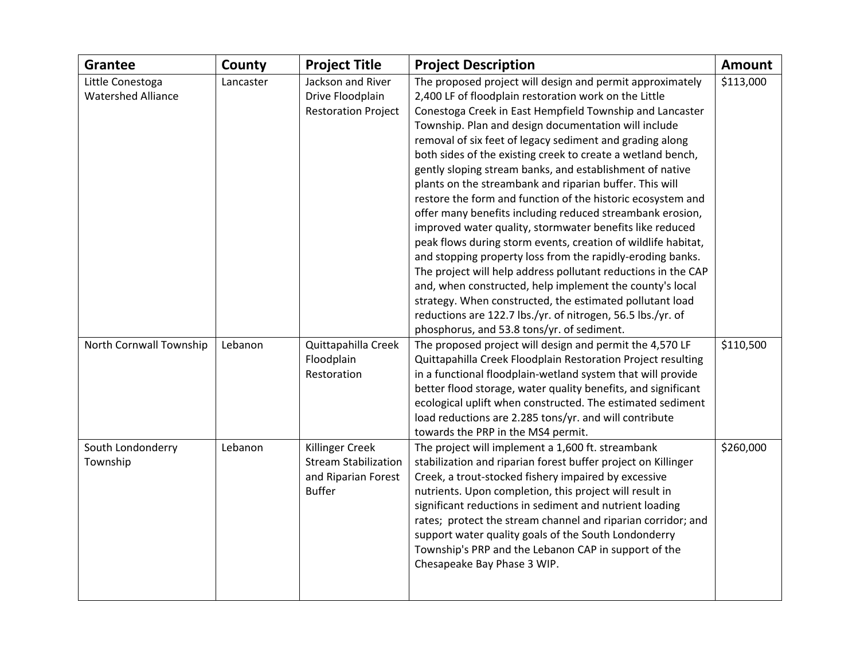| <b>Grantee</b>                                | County    | <b>Project Title</b>                                                                   | <b>Project Description</b>                                                                                                                                                                                                                                                                                                                                                                                                                                                                                                                                                                                                                                                                                                                                                                                                                                                                                                                                                                                                                                                                                            | <b>Amount</b> |
|-----------------------------------------------|-----------|----------------------------------------------------------------------------------------|-----------------------------------------------------------------------------------------------------------------------------------------------------------------------------------------------------------------------------------------------------------------------------------------------------------------------------------------------------------------------------------------------------------------------------------------------------------------------------------------------------------------------------------------------------------------------------------------------------------------------------------------------------------------------------------------------------------------------------------------------------------------------------------------------------------------------------------------------------------------------------------------------------------------------------------------------------------------------------------------------------------------------------------------------------------------------------------------------------------------------|---------------|
| Little Conestoga<br><b>Watershed Alliance</b> | Lancaster | Jackson and River<br>Drive Floodplain<br><b>Restoration Project</b>                    | The proposed project will design and permit approximately<br>2,400 LF of floodplain restoration work on the Little<br>Conestoga Creek in East Hempfield Township and Lancaster<br>Township. Plan and design documentation will include<br>removal of six feet of legacy sediment and grading along<br>both sides of the existing creek to create a wetland bench,<br>gently sloping stream banks, and establishment of native<br>plants on the streambank and riparian buffer. This will<br>restore the form and function of the historic ecosystem and<br>offer many benefits including reduced streambank erosion,<br>improved water quality, stormwater benefits like reduced<br>peak flows during storm events, creation of wildlife habitat,<br>and stopping property loss from the rapidly-eroding banks.<br>The project will help address pollutant reductions in the CAP<br>and, when constructed, help implement the county's local<br>strategy. When constructed, the estimated pollutant load<br>reductions are 122.7 lbs./yr. of nitrogen, 56.5 lbs./yr. of<br>phosphorus, and 53.8 tons/yr. of sediment. | \$113,000     |
| North Cornwall Township                       | Lebanon   | Quittapahilla Creek<br>Floodplain<br>Restoration                                       | The proposed project will design and permit the 4,570 LF<br>Quittapahilla Creek Floodplain Restoration Project resulting<br>in a functional floodplain-wetland system that will provide<br>better flood storage, water quality benefits, and significant<br>ecological uplift when constructed. The estimated sediment<br>load reductions are 2.285 tons/yr. and will contribute<br>towards the PRP in the MS4 permit.                                                                                                                                                                                                                                                                                                                                                                                                                                                                                                                                                                                                                                                                                                | \$110,500     |
| South Londonderry<br>Township                 | Lebanon   | Killinger Creek<br><b>Stream Stabilization</b><br>and Riparian Forest<br><b>Buffer</b> | The project will implement a 1,600 ft. streambank<br>stabilization and riparian forest buffer project on Killinger<br>Creek, a trout-stocked fishery impaired by excessive<br>nutrients. Upon completion, this project will result in<br>significant reductions in sediment and nutrient loading<br>rates; protect the stream channel and riparian corridor; and<br>support water quality goals of the South Londonderry<br>Township's PRP and the Lebanon CAP in support of the<br>Chesapeake Bay Phase 3 WIP.                                                                                                                                                                                                                                                                                                                                                                                                                                                                                                                                                                                                       | \$260,000     |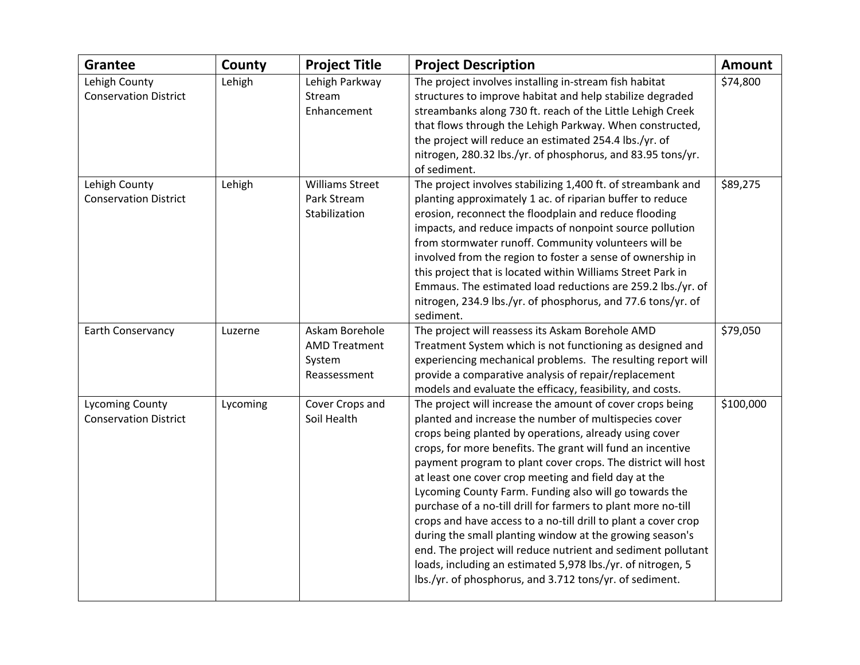| <b>Grantee</b>                                         | County   | <b>Project Title</b>                                             | <b>Project Description</b>                                                                                                                                                                                                                                                                                                                                                                                                                                                                                                                                                                                                                                                                                                                                                                                            | <b>Amount</b> |
|--------------------------------------------------------|----------|------------------------------------------------------------------|-----------------------------------------------------------------------------------------------------------------------------------------------------------------------------------------------------------------------------------------------------------------------------------------------------------------------------------------------------------------------------------------------------------------------------------------------------------------------------------------------------------------------------------------------------------------------------------------------------------------------------------------------------------------------------------------------------------------------------------------------------------------------------------------------------------------------|---------------|
| Lehigh County<br><b>Conservation District</b>          | Lehigh   | Lehigh Parkway<br>Stream<br>Enhancement                          | The project involves installing in-stream fish habitat<br>structures to improve habitat and help stabilize degraded<br>streambanks along 730 ft. reach of the Little Lehigh Creek                                                                                                                                                                                                                                                                                                                                                                                                                                                                                                                                                                                                                                     | \$74,800      |
|                                                        |          |                                                                  | that flows through the Lehigh Parkway. When constructed,<br>the project will reduce an estimated 254.4 lbs./yr. of<br>nitrogen, 280.32 lbs./yr. of phosphorus, and 83.95 tons/yr.<br>of sediment.                                                                                                                                                                                                                                                                                                                                                                                                                                                                                                                                                                                                                     |               |
| Lehigh County<br><b>Conservation District</b>          | Lehigh   | <b>Williams Street</b><br>Park Stream<br>Stabilization           | The project involves stabilizing 1,400 ft. of streambank and<br>planting approximately 1 ac. of riparian buffer to reduce<br>erosion, reconnect the floodplain and reduce flooding<br>impacts, and reduce impacts of nonpoint source pollution<br>from stormwater runoff. Community volunteers will be<br>involved from the region to foster a sense of ownership in<br>this project that is located within Williams Street Park in<br>Emmaus. The estimated load reductions are 259.2 lbs./yr. of<br>nitrogen, 234.9 lbs./yr. of phosphorus, and 77.6 tons/yr. of<br>sediment.                                                                                                                                                                                                                                       | \$89,275      |
| Earth Conservancy                                      | Luzerne  | Askam Borehole<br><b>AMD Treatment</b><br>System<br>Reassessment | The project will reassess its Askam Borehole AMD<br>Treatment System which is not functioning as designed and<br>experiencing mechanical problems. The resulting report will<br>provide a comparative analysis of repair/replacement<br>models and evaluate the efficacy, feasibility, and costs.                                                                                                                                                                                                                                                                                                                                                                                                                                                                                                                     | \$79,050      |
| <b>Lycoming County</b><br><b>Conservation District</b> | Lycoming | Cover Crops and<br>Soil Health                                   | The project will increase the amount of cover crops being<br>planted and increase the number of multispecies cover<br>crops being planted by operations, already using cover<br>crops, for more benefits. The grant will fund an incentive<br>payment program to plant cover crops. The district will host<br>at least one cover crop meeting and field day at the<br>Lycoming County Farm. Funding also will go towards the<br>purchase of a no-till drill for farmers to plant more no-till<br>crops and have access to a no-till drill to plant a cover crop<br>during the small planting window at the growing season's<br>end. The project will reduce nutrient and sediment pollutant<br>loads, including an estimated 5,978 lbs./yr. of nitrogen, 5<br>lbs./yr. of phosphorus, and 3.712 tons/yr. of sediment. | \$100,000     |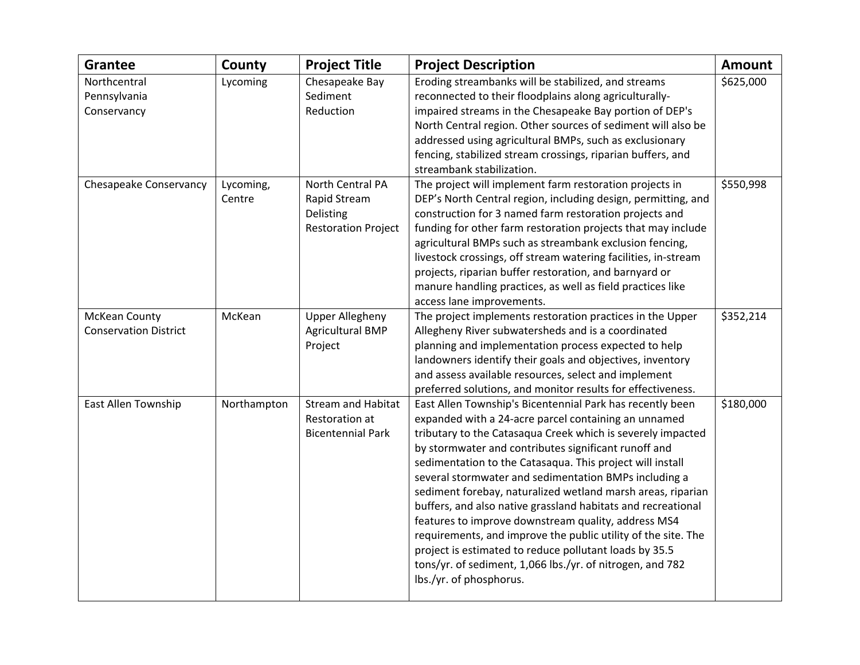| <b>Grantee</b>                                       | County              | <b>Project Title</b>                                                        | <b>Project Description</b>                                                                                                                                                                                                                                                                                                                                                                                                                                                                                                                                                                                                                                                                                                                                              | <b>Amount</b> |
|------------------------------------------------------|---------------------|-----------------------------------------------------------------------------|-------------------------------------------------------------------------------------------------------------------------------------------------------------------------------------------------------------------------------------------------------------------------------------------------------------------------------------------------------------------------------------------------------------------------------------------------------------------------------------------------------------------------------------------------------------------------------------------------------------------------------------------------------------------------------------------------------------------------------------------------------------------------|---------------|
| Northcentral<br>Pennsylvania<br>Conservancy          | Lycoming            | Chesapeake Bay<br>Sediment<br>Reduction                                     | Eroding streambanks will be stabilized, and streams<br>reconnected to their floodplains along agriculturally-<br>impaired streams in the Chesapeake Bay portion of DEP's<br>North Central region. Other sources of sediment will also be<br>addressed using agricultural BMPs, such as exclusionary<br>fencing, stabilized stream crossings, riparian buffers, and<br>streambank stabilization.                                                                                                                                                                                                                                                                                                                                                                         | \$625,000     |
| Chesapeake Conservancy                               | Lycoming,<br>Centre | North Central PA<br>Rapid Stream<br>Delisting<br><b>Restoration Project</b> | The project will implement farm restoration projects in<br>DEP's North Central region, including design, permitting, and<br>construction for 3 named farm restoration projects and<br>funding for other farm restoration projects that may include<br>agricultural BMPs such as streambank exclusion fencing,<br>livestock crossings, off stream watering facilities, in-stream<br>projects, riparian buffer restoration, and barnyard or<br>manure handling practices, as well as field practices like<br>access lane improvements.                                                                                                                                                                                                                                    | \$550,998     |
| <b>McKean County</b><br><b>Conservation District</b> | McKean              | <b>Upper Allegheny</b><br><b>Agricultural BMP</b><br>Project                | The project implements restoration practices in the Upper<br>Allegheny River subwatersheds and is a coordinated<br>planning and implementation process expected to help<br>landowners identify their goals and objectives, inventory<br>and assess available resources, select and implement<br>preferred solutions, and monitor results for effectiveness.                                                                                                                                                                                                                                                                                                                                                                                                             | \$352,214     |
| East Allen Township                                  | Northampton         | <b>Stream and Habitat</b><br>Restoration at<br><b>Bicentennial Park</b>     | East Allen Township's Bicentennial Park has recently been<br>expanded with a 24-acre parcel containing an unnamed<br>tributary to the Catasaqua Creek which is severely impacted<br>by stormwater and contributes significant runoff and<br>sedimentation to the Catasaqua. This project will install<br>several stormwater and sedimentation BMPs including a<br>sediment forebay, naturalized wetland marsh areas, riparian<br>buffers, and also native grassland habitats and recreational<br>features to improve downstream quality, address MS4<br>requirements, and improve the public utility of the site. The<br>project is estimated to reduce pollutant loads by 35.5<br>tons/yr. of sediment, 1,066 lbs./yr. of nitrogen, and 782<br>lbs./yr. of phosphorus. | \$180,000     |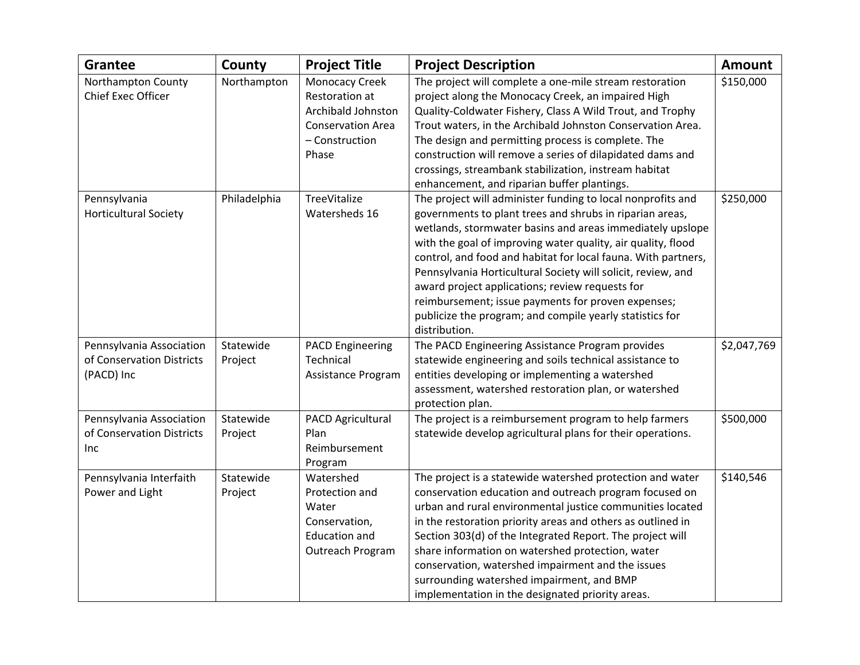| <b>Grantee</b>                                                      | County               | <b>Project Title</b>                                                                                          | <b>Project Description</b>                                                                                                                                                                                                                                                                                                                                                                                                                                                                                                                                                  | <b>Amount</b> |
|---------------------------------------------------------------------|----------------------|---------------------------------------------------------------------------------------------------------------|-----------------------------------------------------------------------------------------------------------------------------------------------------------------------------------------------------------------------------------------------------------------------------------------------------------------------------------------------------------------------------------------------------------------------------------------------------------------------------------------------------------------------------------------------------------------------------|---------------|
| Northampton County<br>Chief Exec Officer                            | Northampton          | Monocacy Creek<br>Restoration at<br>Archibald Johnston<br><b>Conservation Area</b><br>- Construction<br>Phase | The project will complete a one-mile stream restoration<br>project along the Monocacy Creek, an impaired High<br>Quality-Coldwater Fishery, Class A Wild Trout, and Trophy<br>Trout waters, in the Archibald Johnston Conservation Area.<br>The design and permitting process is complete. The<br>construction will remove a series of dilapidated dams and<br>crossings, streambank stabilization, instream habitat<br>enhancement, and riparian buffer plantings.                                                                                                         | \$150,000     |
| Pennsylvania<br><b>Horticultural Society</b>                        | Philadelphia         | TreeVitalize<br>Watersheds 16                                                                                 | The project will administer funding to local nonprofits and<br>governments to plant trees and shrubs in riparian areas,<br>wetlands, stormwater basins and areas immediately upslope<br>with the goal of improving water quality, air quality, flood<br>control, and food and habitat for local fauna. With partners,<br>Pennsylvania Horticultural Society will solicit, review, and<br>award project applications; review requests for<br>reimbursement; issue payments for proven expenses;<br>publicize the program; and compile yearly statistics for<br>distribution. | \$250,000     |
| Pennsylvania Association<br>of Conservation Districts<br>(PACD) Inc | Statewide<br>Project | <b>PACD Engineering</b><br>Technical<br>Assistance Program                                                    | The PACD Engineering Assistance Program provides<br>statewide engineering and soils technical assistance to<br>entities developing or implementing a watershed<br>assessment, watershed restoration plan, or watershed<br>protection plan.                                                                                                                                                                                                                                                                                                                                  | \$2,047,769   |
| Pennsylvania Association<br>of Conservation Districts<br>Inc        | Statewide<br>Project | PACD Agricultural<br>Plan<br>Reimbursement<br>Program                                                         | The project is a reimbursement program to help farmers<br>statewide develop agricultural plans for their operations.                                                                                                                                                                                                                                                                                                                                                                                                                                                        | \$500,000     |
| Pennsylvania Interfaith<br>Power and Light                          | Statewide<br>Project | Watershed<br>Protection and<br>Water<br>Conservation,<br><b>Education and</b><br>Outreach Program             | The project is a statewide watershed protection and water<br>conservation education and outreach program focused on<br>urban and rural environmental justice communities located<br>in the restoration priority areas and others as outlined in<br>Section 303(d) of the Integrated Report. The project will<br>share information on watershed protection, water<br>conservation, watershed impairment and the issues<br>surrounding watershed impairment, and BMP<br>implementation in the designated priority areas.                                                      | \$140,546     |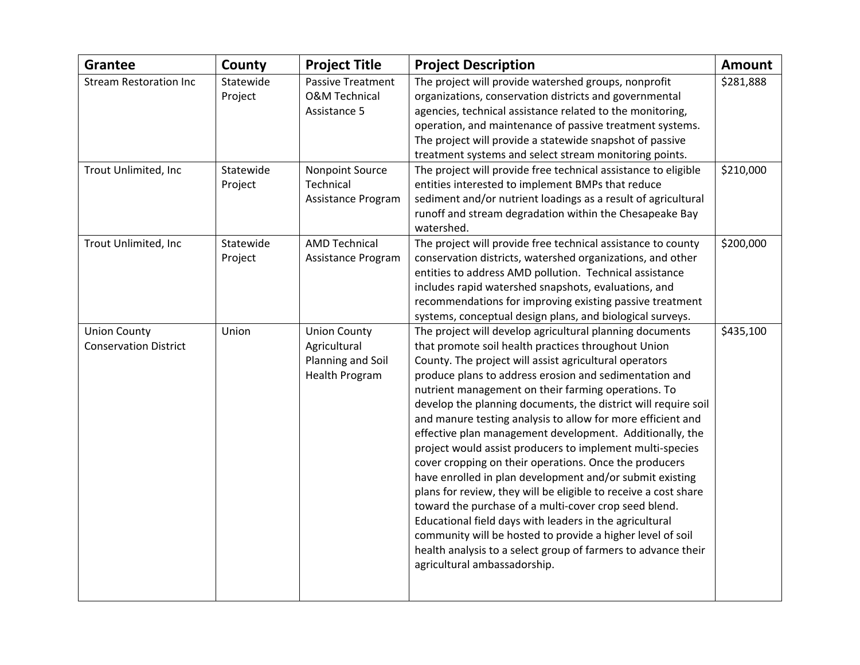| <b>Grantee</b>                | County               | <b>Project Title</b>                                 | <b>Project Description</b>                                                                                          | <b>Amount</b> |
|-------------------------------|----------------------|------------------------------------------------------|---------------------------------------------------------------------------------------------------------------------|---------------|
| <b>Stream Restoration Inc</b> | Statewide<br>Project | <b>Passive Treatment</b><br><b>O&amp;M Technical</b> | The project will provide watershed groups, nonprofit<br>organizations, conservation districts and governmental      | \$281,888     |
|                               |                      | Assistance 5                                         | agencies, technical assistance related to the monitoring,                                                           |               |
|                               |                      |                                                      | operation, and maintenance of passive treatment systems.                                                            |               |
|                               |                      |                                                      | The project will provide a statewide snapshot of passive                                                            |               |
|                               |                      |                                                      | treatment systems and select stream monitoring points.                                                              |               |
| Trout Unlimited, Inc          | Statewide<br>Project | Nonpoint Source<br>Technical                         | The project will provide free technical assistance to eligible<br>entities interested to implement BMPs that reduce | \$210,000     |
|                               |                      | Assistance Program                                   | sediment and/or nutrient loadings as a result of agricultural                                                       |               |
|                               |                      |                                                      | runoff and stream degradation within the Chesapeake Bay<br>watershed.                                               |               |
| Trout Unlimited, Inc          | Statewide            | <b>AMD Technical</b>                                 | The project will provide free technical assistance to county                                                        | \$200,000     |
|                               | Project              | Assistance Program                                   | conservation districts, watershed organizations, and other                                                          |               |
|                               |                      |                                                      | entities to address AMD pollution. Technical assistance                                                             |               |
|                               |                      |                                                      | includes rapid watershed snapshots, evaluations, and                                                                |               |
|                               |                      |                                                      | recommendations for improving existing passive treatment                                                            |               |
|                               |                      |                                                      | systems, conceptual design plans, and biological surveys.                                                           |               |
| <b>Union County</b>           | Union                | <b>Union County</b>                                  | The project will develop agricultural planning documents                                                            | \$435,100     |
| <b>Conservation District</b>  |                      | Agricultural                                         | that promote soil health practices throughout Union                                                                 |               |
|                               |                      | Planning and Soil                                    | County. The project will assist agricultural operators                                                              |               |
|                               |                      | <b>Health Program</b>                                | produce plans to address erosion and sedimentation and                                                              |               |
|                               |                      |                                                      | nutrient management on their farming operations. To                                                                 |               |
|                               |                      |                                                      | develop the planning documents, the district will require soil                                                      |               |
|                               |                      |                                                      | and manure testing analysis to allow for more efficient and                                                         |               |
|                               |                      |                                                      | effective plan management development. Additionally, the                                                            |               |
|                               |                      |                                                      | project would assist producers to implement multi-species                                                           |               |
|                               |                      |                                                      | cover cropping on their operations. Once the producers<br>have enrolled in plan development and/or submit existing  |               |
|                               |                      |                                                      | plans for review, they will be eligible to receive a cost share                                                     |               |
|                               |                      |                                                      | toward the purchase of a multi-cover crop seed blend.                                                               |               |
|                               |                      |                                                      | Educational field days with leaders in the agricultural                                                             |               |
|                               |                      |                                                      | community will be hosted to provide a higher level of soil                                                          |               |
|                               |                      |                                                      | health analysis to a select group of farmers to advance their                                                       |               |
|                               |                      |                                                      | agricultural ambassadorship.                                                                                        |               |
|                               |                      |                                                      |                                                                                                                     |               |
|                               |                      |                                                      |                                                                                                                     |               |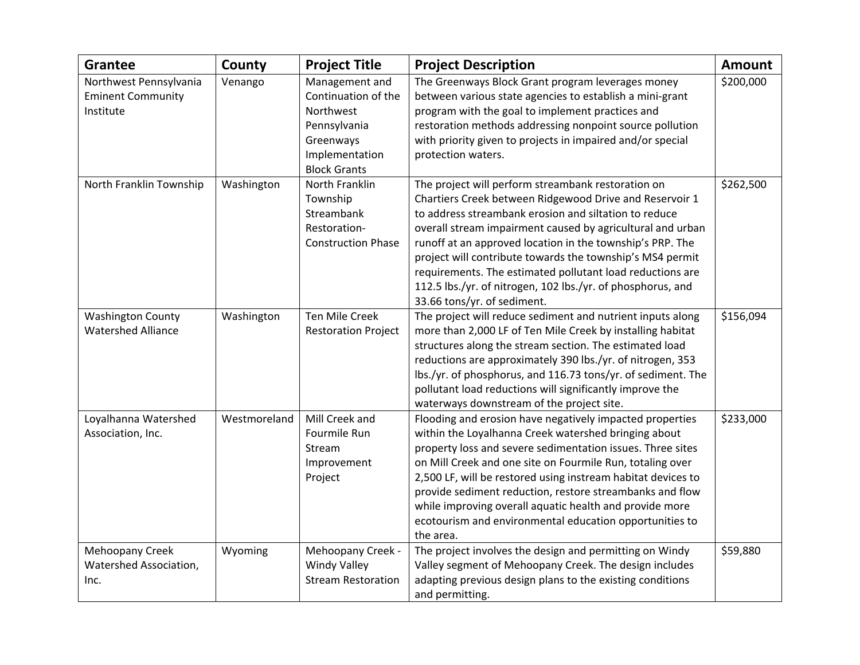| <b>Grantee</b>                                     | County       | <b>Project Title</b>                  | <b>Project Description</b>                                                                                    | <b>Amount</b> |
|----------------------------------------------------|--------------|---------------------------------------|---------------------------------------------------------------------------------------------------------------|---------------|
| Northwest Pennsylvania<br><b>Eminent Community</b> | Venango      | Management and<br>Continuation of the | The Greenways Block Grant program leverages money<br>between various state agencies to establish a mini-grant | \$200,000     |
| Institute                                          |              | Northwest                             | program with the goal to implement practices and                                                              |               |
|                                                    |              | Pennsylvania                          | restoration methods addressing nonpoint source pollution                                                      |               |
|                                                    |              | Greenways                             | with priority given to projects in impaired and/or special                                                    |               |
|                                                    |              | Implementation                        | protection waters.                                                                                            |               |
|                                                    |              | <b>Block Grants</b>                   |                                                                                                               |               |
| North Franklin Township                            | Washington   | North Franklin                        | The project will perform streambank restoration on                                                            | \$262,500     |
|                                                    |              | Township                              | Chartiers Creek between Ridgewood Drive and Reservoir 1                                                       |               |
|                                                    |              | Streambank                            | to address streambank erosion and siltation to reduce                                                         |               |
|                                                    |              | Restoration-                          | overall stream impairment caused by agricultural and urban                                                    |               |
|                                                    |              | <b>Construction Phase</b>             | runoff at an approved location in the township's PRP. The                                                     |               |
|                                                    |              |                                       | project will contribute towards the township's MS4 permit                                                     |               |
|                                                    |              |                                       | requirements. The estimated pollutant load reductions are                                                     |               |
|                                                    |              |                                       | 112.5 lbs./yr. of nitrogen, 102 lbs./yr. of phosphorus, and                                                   |               |
|                                                    |              |                                       | 33.66 tons/yr. of sediment.                                                                                   |               |
| <b>Washington County</b>                           | Washington   | Ten Mile Creek                        | The project will reduce sediment and nutrient inputs along                                                    | \$156,094     |
| <b>Watershed Alliance</b>                          |              | <b>Restoration Project</b>            | more than 2,000 LF of Ten Mile Creek by installing habitat                                                    |               |
|                                                    |              |                                       | structures along the stream section. The estimated load                                                       |               |
|                                                    |              |                                       | reductions are approximately 390 lbs./yr. of nitrogen, 353                                                    |               |
|                                                    |              |                                       | lbs./yr. of phosphorus, and 116.73 tons/yr. of sediment. The                                                  |               |
|                                                    |              |                                       | pollutant load reductions will significantly improve the                                                      |               |
|                                                    |              |                                       | waterways downstream of the project site.                                                                     |               |
| Loyalhanna Watershed                               | Westmoreland | Mill Creek and                        | Flooding and erosion have negatively impacted properties                                                      | \$233,000     |
| Association, Inc.                                  |              | Fourmile Run                          | within the Loyalhanna Creek watershed bringing about                                                          |               |
|                                                    |              | Stream                                | property loss and severe sedimentation issues. Three sites                                                    |               |
|                                                    |              | Improvement                           | on Mill Creek and one site on Fourmile Run, totaling over                                                     |               |
|                                                    |              | Project                               | 2,500 LF, will be restored using instream habitat devices to                                                  |               |
|                                                    |              |                                       | provide sediment reduction, restore streambanks and flow                                                      |               |
|                                                    |              |                                       | while improving overall aquatic health and provide more                                                       |               |
|                                                    |              |                                       | ecotourism and environmental education opportunities to                                                       |               |
|                                                    |              |                                       | the area.                                                                                                     |               |
| Mehoopany Creek                                    | Wyoming      | Mehoopany Creek -                     | The project involves the design and permitting on Windy                                                       | \$59,880      |
| Watershed Association,                             |              | <b>Windy Valley</b>                   | Valley segment of Mehoopany Creek. The design includes                                                        |               |
| Inc.                                               |              | <b>Stream Restoration</b>             | adapting previous design plans to the existing conditions                                                     |               |
|                                                    |              |                                       | and permitting.                                                                                               |               |